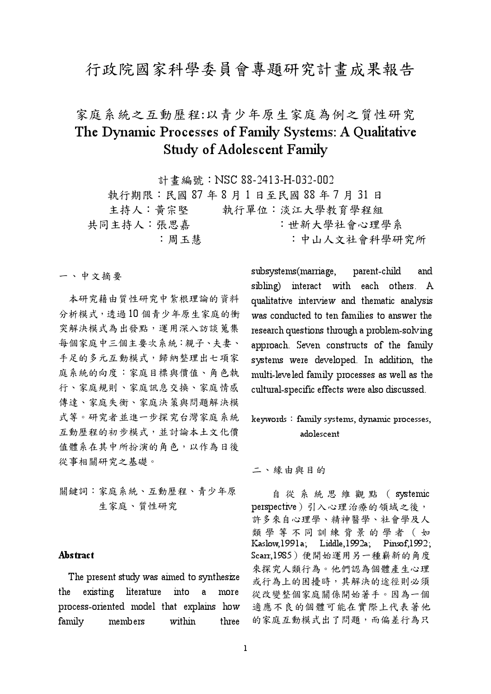## 行政院國家科學委員會專題研究計畫成果報告

# 家庭系統之互動歷程:以青少年原生家庭為例之質性研究 The Dynamic Processes of Family Systems: A Qualitative **Study of Adolescent Family**

計書編號: NSC 88-2413-H-032-002 執行期限:民國87年8月1日至民國88年7月31日 主持人: 黃宗堅 執行單位:淡江大學教育學程組 共同主持人:張思嘉 :世新大學社會心理學系 :周玉慧 : 中山人文社會科學研究所

一、中文摘要

本研究藉由質性研究中紮根理論的資料 分析模式,透過10個青少年原生家庭的衝 突解決模式為出發點,運用深入訪談蒐集 每個家庭中三個主要次系統:親子、夫妻、 手足的多元互動模式,歸納整理出七項家 庭系統的向度:家庭目標與價值、角色執 行、家庭規則、家庭訊息交換、家庭情感 傳達、家庭失衡、家庭決策與問題解決模 式等。研究者並進一步探究台灣家庭系統 互動歷程的初步模式,並討論本土文化價 值體系在其中所扮演的角色,以作為日後 從事相關研究之基礎。

關鍵詞:家庭系統、互動歷程、青少年原 生家庭、質性研究

### Abstract

The present study was aimed to synthesize the existing literature into  $\mathbf{a}$ more process-oriented model that explains how family members within three subsystems(marriage, parent-child and sibling) interact with each others. A qualitative interview and thematic analysis was conducted to ten families to answer the research questions through a problem-solving approach. Seven constructs of the family systems were developed. In addition, the multi-leveled family processes as well as the cultural-specific effects were also discussed.

keywords: family systems, dynamic processes, adolescent

二、緣由與目的

自從系統思維觀點 (systemic perspective)引入心理治療的領域之後, 許多來自心理學、精神醫學、社會學及人 類學等不同訓練背景的學者(如 Kaslow, 1991a; Liddle, 1992a; Pinsof, 1992; Scarr,1985)便開始運用另一種嶄新的角度 來探究人類行為。他們認為個體產生心理 或行為上的困擾時,其解決的途徑則必須 從改變整個家庭關係開始著手。因為一個 適應不良的個體可能在實際上代表著他 的家庭互動模式出了問題,而偏差行為只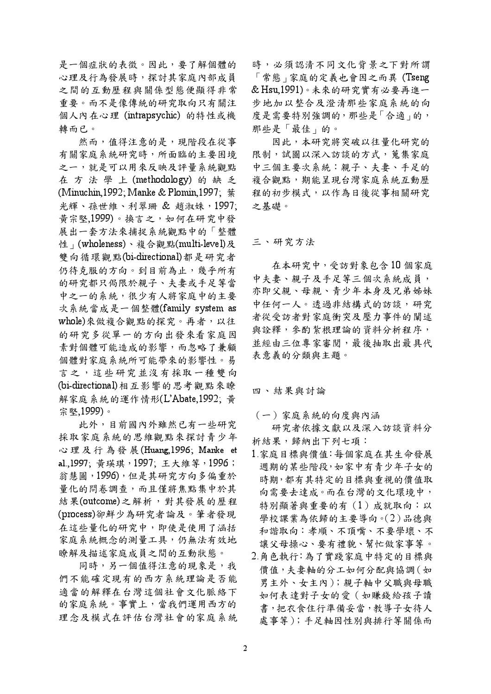是一個症狀的表徵。因此,要了解個體的 心理及行為發展時,探討其家庭內部成員 之間的互動歷程與關係型態便顯得非常 重要。而不是像傳統的研究取向只有關注 個人內在心理 (intrapsychic) 的特性或機 轉而已。

然而,值得注意的是,現階段在從事 有關家庭系統研究時,所面臨的主要困境 之一,就是可以用來反映及評量系統觀點 在方法學上(methodology)的缺乏 (Minuchin, 1992; Manke & Plomin, 1997; 葉 光輝、孫世維、利翠珊 & 趙淑姝, 1997; 黃宗堅,1999)。換言之,如何在研究中發 展出一套方法來捕捉系統觀點中的「整體 性 (wholeness)、複合觀點(multi-level)及 雙向循環觀點(bi-directional)都是研究者 仍待克服的方向。到目前為止,幾乎所有 的研究都只侷限於親子、夫妻或手足等當 中之一的系統,很少有人將家庭中的主要 次系統當成是一個整體(family system as whole)來做複合觀點的探究。再者,以往 的研究多從單一的方向出發來看家庭因 素對個體可能造成的影響,而忽略了兼顧 個體對家庭系統所可能帶來的影響性。易 言之,這些研究並沒有採取一種雙向 (bi-directional)相互影響的思考觀點來瞭 解家庭系統的運作情形(L'Abate,1992; 黄 宗堅.1999)。

此外,目前國內外雖然已有一些研究 採取家庭系統的思維觀點來探討青少年 心理及行為發展(Huang,1996; Manke et al.,1997; 黄瑛琪, 1997; 王大維等, 1996; 翁慧圓,1996),但是其研究方向多偏重於 量化的問卷調查,而且僅將焦點集中於其 結果(outcome)之解析,對其發展的歷程 (process)卻鮮少為研究者論及。筆者發現 在這些量化的研究中,即使是使用了涵括 家庭系統概念的測量工具,仍無法有效地 瞭解及描述家庭成員之間的互動狀態。

同時,另一個值得注意的現象是,我 們不能確定現有的西方系統理論是否能 滴當的解釋在台灣這個社會文化脈絡下 的家庭系統。事實上,當我們運用西方的 理念及模式在評估台灣社會的家庭系統 時,必須認清不同文化背景之下對所謂 「常態」家庭的定義也會因之而異(Tseng & Hsu,1991)。未來的研究實有必要再進一 步地加以整合及澄清那些家庭系統的向 度是需要特別強調的,那些是「合適」的, 那些是「最佳」的。

因此,本研究將突破以往量化研究的 限制,試圖以深入訪談的方式, 蒐集家庭 中三個主要次系統:親子、夫妻、手足的 複合觀點,期能呈現台灣家庭系統互動歷 程的初步模式,以作為日後從事相關研究 之其礎。

### 三、研究方法

在本研究中,受訪對象包含10個家庭 中夫妻、親子及手足等三個次系統成員, 亦即父親、母親、青少年本身及兄弟姊妹 中任何一人。诱過非結構式的訪談,研究 者從受訪者對家庭衝突及壓力事件的闡述 與詮釋,參酌紮根理論的資料分析程序, 並經由三位專家審閱,最後抽取出最具代 表意義的分類與主題。

#### 四、結果與討論

(一)家庭系統的向度與內涵

研究者依據文獻以及深入訪談資料分 析結果,歸納出下列七項:

- 1. 家庭目標與價值: 每個家庭在其生命發展 週期的某些階段,如家中有青少年子女的 時期,都有其特定的目標與重視的價值取 向需要去達成。而在台灣的文化環境中, 特別顯著與重要的有(1)成就取向:以 學校課業為依歸的主要導向。(2)品德與 和諧取向:孝順、不頂嘴、不要學壞、不 讓父母操心、要有禮貌、幫忙做家事等。
- 2.角色執行:為了實踐家庭中特定的目標與 價值,夫妻軸的分工如何分配與協調(如 男主外、女主内);親子軸中父職與母職 如何表達對子女的愛(如賺錢給孩子讀 書,把衣食住行準備妥當,教導子女待人 處事等);手足軸因性別與排行等關係而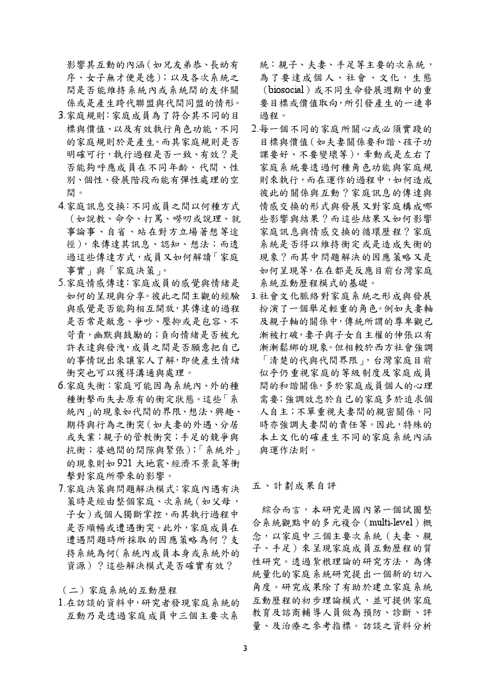影響其互動的內涵 (如兄友弟恭、長幼有 序、女子無才便是德);以及各次系統之 間是否能維持系統內或系統間的友伴關 係或是產生跨代聯盟與代間同盟的情形。

- 3.家庭規則:家庭成員為了符合其不同的目 標與價值、以及有效執行角色功能,不同 的家庭規則於是產生。而其家庭規則是否 明確可行,執行過程是否一致、有效?是 否能夠呼應成員在不同年齡、代間、性 別、個性、發展階段而能有彈性處理的空 間。
- 4.家庭訊息交換:不同成員之間以何種方式 (如說教、命令、打罵、嘮叨或說理、就 事論事、自省、站在對方立場著想等途 徑),來傳達其訊息、認知、想法;而透 過這些傳達方式, 成員又如何解讀「家庭 事實,與「家庭決策」。
- 5.家庭情感傳達:家庭成員的感覺與情緒是 如何的呈現與分享。彼此之間主觀的經驗 與感覺是否能夠相互開放,其傳達的過程 是否常是敵意、爭吵、壓抑或是包容、不 苛青,幽默與鼓勵的;負向情緒是否被允 許表達與發洩,成員之間是否願意把自己 的事情說出來讓家人了解,即使產生情緒 衝突也可以獲得溝通與處理。
- 6.家庭失衡:家庭可能因為系統內、外的種 種衝擊而失去原有的衡定狀態。這些「系 統內」的現象如代間的界限、想法、興趣、 期待與行為之衝突(如夫妻的外遇、分居 或失業;親子的管教衝突;手足的競爭與 抗衡;婆媳間的間隙與緊張);「系統外」 的現象則如921 大地震、經濟不景氣等衝 擊對家庭所帶來的影響。
- 7.家庭決策與問題解決模式:家庭內遇有決 策時是經由整個家庭、次系統 (如父母, 子女)或個人獨斷掌控,而其執行過程中 是否順暢或遭遇衝突。此外,家庭成員在 遭遇問題時所採取的因應策略為何?支 持系統為何(系統內成員本身或系統外的 資源)?這些解決模式是否確實有效?

(二)家庭系統的互動歷程

1.在訪談的資料中,研究者發現家庭系統的 互動乃是透過家庭成員中三個主要次系

統:親子、夫妻、手足等主要的次系統, 為了要達成個人、社會、文化,生態 (biosocial)或不同生命發展週期中的重 要目標或價值取向,所引發產生的一連串 過程。

- 2.每一個不同的家庭所關心或必須實踐的 目標與價值 (如夫妻關係要和諧、孩子功 課要好、不要變壞等),牽動或是左右了 家庭系統要透過何種角色功能與家庭規 則來執行,而在運作的過程中,如何造成 彼此的關係與互動?家庭訊息的傳達與 情感交换的形式與發展又對家庭構成哪 些影響與結果?而這些結果又如何影響 家庭訊息與情感交換的循環歷程?家庭 系統是否得以維持衡定或是造成失衡的 現象?而其中問題解決的因應策略又是 如何呈現等,在在都是反應目前台灣家庭 系統互動歷程模式的基礎。
- 3.社會文化脈絡對家庭系統之形成與發展 扮演了一個舉足輕重的角色。例如夫妻軸 及親子軸的關係中, 傳統所謂的尊卑觀已 漸被打破, 妻子與子女自主權的伸張以有 漸漸鬆綁的現象。但相較於西方社會強調 「清楚的代與代間界限」,台灣家庭目前 似乎仍重視家庭的等級制度及家庭成員 間的和諧關係,多於家庭成員個人的心理 需要; 強調效忠於自己的家庭多於追求個 人自主;不單重視夫妻間的親密關係,同 時亦強調夫妻間的責任等。因此,特殊的 本土文化的確產生不同的家庭系統內涵 與運作法則。

五、計劃成果自評

綜合而言,本研究是國內第一個試圖整 合系統觀點中的多元複合 (multi-level)概 念,以家庭中三個主要次系統 (夫妻、親 子、手足)來呈現家庭成員互動歷程的質 性研究。透過紮根理論的研究方法,為傳 統量化的家庭系統研究提出一個新的切入 角度。研究成果除了有助於建立家庭系統 互動歷程的初步理論模式,並可提供家庭 教育及諮商輔導人員做為預防、診斷、評 量、及治療之參考指標。訪談之資料分析